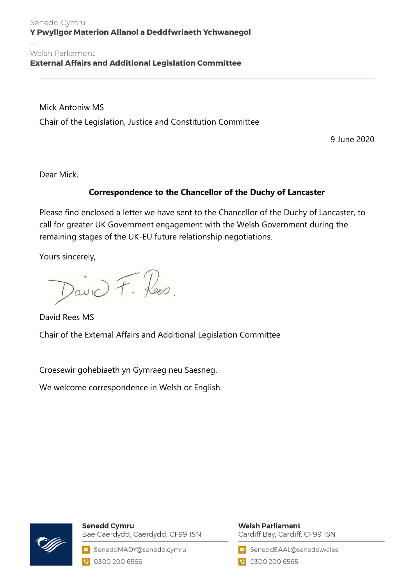#### Senedd Cymru Y Pwyllgor Materion Allanol a Deddfwriaeth Ychwanegol

#### Welsh Parliament **External Affairs and Additional Legislation Committee**

Mick Antoniw MS Chair of the Legislation, Justice and Constitution Committee

9 June 2020

Dear Mick,

### **Correspondence to the Chancellor of the Duchy of Lancaster**

Please find enclosed a letter we have sent to the Chancellor of the Duchy of Lancaster, to call for greater UK Government engagement with the Welsh Government during the remaining stages of the UK-EU future relationship negotiations.

Yours sincerely,

David F. Rees.

David Rees MS Chair of the External Affairs and Additional Legislation Committee

Croesewir gohebiaeth yn Gymraeg neu Saesneg.

We welcome correspondence in Welsh or English.



**Senedd Cymru** Bae Caerdydd, Caerdydd, CF99 ISN

SeneddMADY@senedd.cymru 0300 200 6565

## **Welsh Parliament**

Cardiff Bay, Cardiff, CF99 ISN

SeneddEAAL@senedd.wales

● 0300 200 6565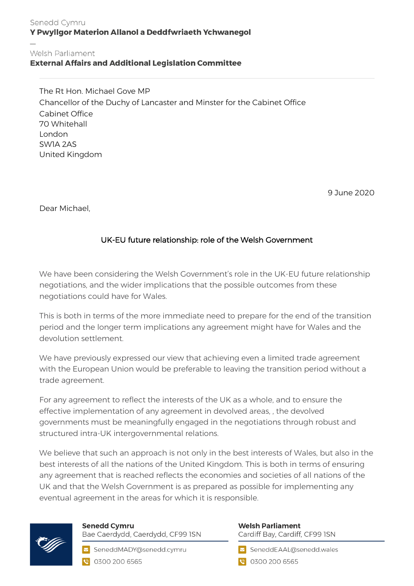#### Senedd Cymru Y Pwyllgor Materion Allanol a Deddfwriaeth Ychwanegol

#### Welsh Parliament **External Affairs and Additional Legislation Committee**

The Rt Hon. Michael Gove MP Chancellor of the Duchy of Lancaster and Minster for the Cabinet Office Cabinet Office 70 Whitehall London SW1A 2AS United Kingdom

9 June 2020

Dear Michael,

## UK-EU future relationship: role of the Welsh Government

We have been considering the Welsh Government's role in the UK-EU future relationship negotiations, and the wider implications that the possible outcomes from these negotiations could have for Wales.

This is both in terms of the more immediate need to prepare for the end of the transition period and the longer term implications any agreement might have for Wales and the devolution settlement.

We have previously expressed our view that achieving even a limited trade agreement with the European Union would be preferable to leaving the transition period without a trade agreement.

For any agreement to reflect the interests of the UK as a whole, and to ensure the effective implementation of any agreement in devolved areas, , the devolved governments must be meaningfully engaged in the negotiations through robust and structured intra-UK intergovernmental relations.

We believe that such an approach is not only in the best interests of Wales, but also in the best interests of all the nations of the United Kingdom. This is both in terms of ensuring any agreement that is reached reflects the economies and societies of all nations of the UK and that the Welsh Government is as prepared as possible for implementing any eventual agreement in the areas for which it is responsible.



# **Senedd Cymru**

Bae Caerdydd, Caerdydd, CF99 ISN

SeneddMADY@senedd.cymru C 0300 200 6565

## **Welsh Parliament**

Cardiff Bay, Cardiff, CF99 ISN

SeneddEAAL@senedd.wales

**@** 0300 200 6565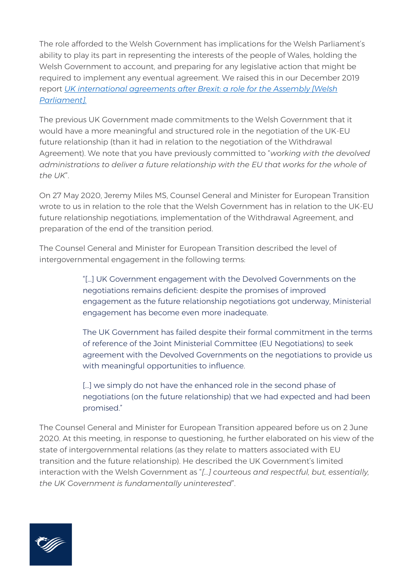The role afforded to the Welsh Government has implications for the Welsh Parliament's ability to play its part in representing the interests of the people of Wales, holding the Welsh Government to account, and preparing for any legislative action that might be required to implement any eventual agreement. We raised this in our December 2019 report *[UK international agreements after Brexit: a role for the Assembly \[Welsh](https://senedd.wales/laid%20documents/cr-ld12935/cr-ld12935%20-e.pdf)  [Parliament\].](https://senedd.wales/laid%20documents/cr-ld12935/cr-ld12935%20-e.pdf)*

The previous UK Government made commitments to the Welsh Government that it would have a more meaningful and structured role in the negotiation of the UK-EU future relationship (than it had in relation to the negotiation of the Withdrawal Agreement). We note that you have previously committed to "*working with the devolved administrations to deliver a future relationship with the EU that works for the whole of the UK*".

On 27 May 2020, Jeremy Miles MS, Counsel General and Minister for European Transition wrote to us in relation to the role that the Welsh Government has in relation to the UK-EU future relationship negotiations, implementation of the Withdrawal Agreement, and preparation of the end of the transition period.

The Counsel General and Minister for European Transition described the level of intergovernmental engagement in the following terms:

> "[…] UK Government engagement with the Devolved Governments on the negotiations remains deficient: despite the promises of improved engagement as the future relationship negotiations got underway, Ministerial engagement has become even more inadequate.

> The UK Government has failed despite their formal commitment in the terms of reference of the Joint Ministerial Committee (EU Negotiations) to seek agreement with the Devolved Governments on the negotiations to provide us with meaningful opportunities to influence.

> [...] we simply do not have the enhanced role in the second phase of negotiations (on the future relationship) that we had expected and had been promised."

The Counsel General and Minister for European Transition appeared before us on 2 June 2020. At this meeting, in response to questioning, he further elaborated on his view of the state of intergovernmental relations (as they relate to matters associated with EU transition and the future relationship). He described the UK Government's limited interaction with the Welsh Government as "*[…] courteous and respectful, but, essentially, the UK Government is fundamentally uninterested*".

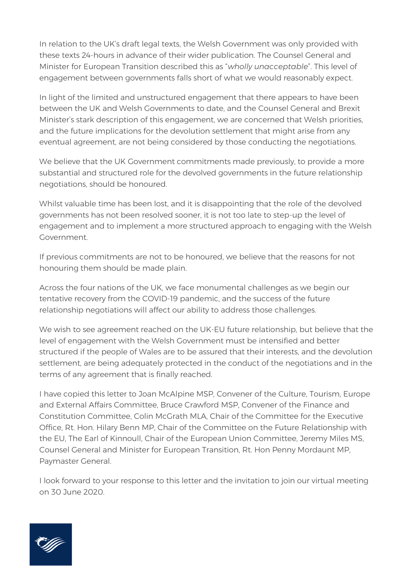In relation to the UK's draft legal texts, the Welsh Government was only provided with these texts 24-hours in advance of their wider publication. The Counsel General and Minister for European Transition described this as "*wholly unacceptable*". This level of engagement between governments falls short of what we would reasonably expect.

In light of the limited and unstructured engagement that there appears to have been between the UK and Welsh Governments to date, and the Counsel General and Brexit Minister's stark description of this engagement, we are concerned that Welsh priorities, and the future implications for the devolution settlement that might arise from any eventual agreement, are not being considered by those conducting the negotiations.

We believe that the UK Government commitments made previously, to provide a more substantial and structured role for the devolved governments in the future relationship negotiations, should be honoured.

Whilst valuable time has been lost, and it is disappointing that the role of the devolved governments has not been resolved sooner, it is not too late to step-up the level of engagement and to implement a more structured approach to engaging with the Welsh Government.

If previous commitments are not to be honoured, we believe that the reasons for not honouring them should be made plain.

Across the four nations of the UK, we face monumental challenges as we begin our tentative recovery from the COVID-19 pandemic, and the success of the future relationship negotiations will affect our ability to address those challenges.

We wish to see agreement reached on the UK-EU future relationship, but believe that the level of engagement with the Welsh Government must be intensified and better structured if the people of Wales are to be assured that their interests, and the devolution settlement, are being adequately protected in the conduct of the negotiations and in the terms of any agreement that is finally reached.

I have copied this letter to Joan McAlpine MSP, Convener of the Culture, Tourism, Europe and External Affairs Committee, Bruce Crawford MSP, Convener of the Finance and Constitution Committee, Colin McGrath MLA, Chair of the Committee for the Executive Office, Rt. Hon. Hilary Benn MP, Chair of the Committee on the Future Relationship with the EU, The Earl of Kinnoull, Chair of the European Union Committee, Jeremy Miles MS, Counsel General and Minister for European Transition, Rt. Hon Penny Mordaunt MP, Paymaster General.

I look forward to your response to this letter and the invitation to join our virtual meeting on 30 June 2020.